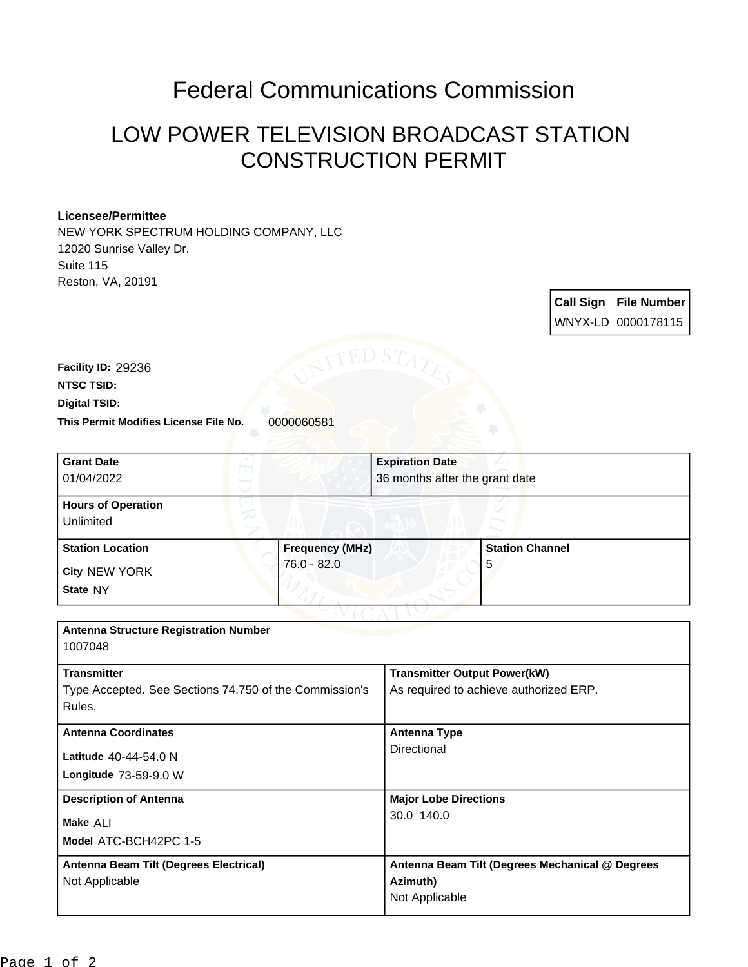## Federal Communications Commission

## LOW POWER TELEVISION BROADCAST STATION CONSTRUCTION PERMIT

## **Licensee/Permittee**

NEW YORK SPECTRUM HOLDING COMPANY, LLC 12020 Sunrise Valley Dr. Suite 115 Reston, VA, 20191

> **Call Sign File Number** WNYX-LD 0000178115

**This Permit Modifies License File No.** 0000060581 **Digital TSID: NTSC TSID: Facility ID:** 29236

| <b>Grant Date</b><br>01/04/2022                        |                        | <b>Expiration Date</b><br>36 months after the grant date |                        |
|--------------------------------------------------------|------------------------|----------------------------------------------------------|------------------------|
|                                                        |                        |                                                          |                        |
| <b>Hours of Operation</b>                              |                        |                                                          |                        |
| Unlimited                                              |                        |                                                          |                        |
| <b>Station Location</b>                                | <b>Frequency (MHz)</b> |                                                          | <b>Station Channel</b> |
| City NEW YORK                                          | $76.0 - 82.0$          |                                                          | 5                      |
| State NY                                               |                        |                                                          |                        |
|                                                        |                        |                                                          |                        |
| <b>Antenna Structure Registration Number</b>           |                        |                                                          |                        |
| 1007048                                                |                        |                                                          |                        |
| <b>Transmitter</b>                                     |                        | <b>Transmitter Output Power(kW)</b>                      |                        |
| Type Accepted. See Sections 74.750 of the Commission's |                        | As required to achieve authorized ERP.                   |                        |
| Rules.                                                 |                        |                                                          |                        |
| <b>Antenna Coordinates</b>                             |                        | <b>Antenna Type</b>                                      |                        |
| Latitude 40-44-54.0 N                                  |                        | Directional                                              |                        |
| Longitude 73-59-9.0 W                                  |                        |                                                          |                        |
| <b>Description of Antenna</b>                          |                        | <b>Major Lobe Directions</b>                             |                        |
| Make ALI                                               |                        | 30.0 140.0                                               |                        |
| Model ATC-BCH42PC 1-5                                  |                        |                                                          |                        |
| Antenna Beam Tilt (Degrees Electrical)                 |                        | Antenna Beam Tilt (Degrees Mechanical @ Degrees          |                        |
| Not Applicable                                         |                        | Azimuth)                                                 |                        |
|                                                        |                        | Not Applicable                                           |                        |